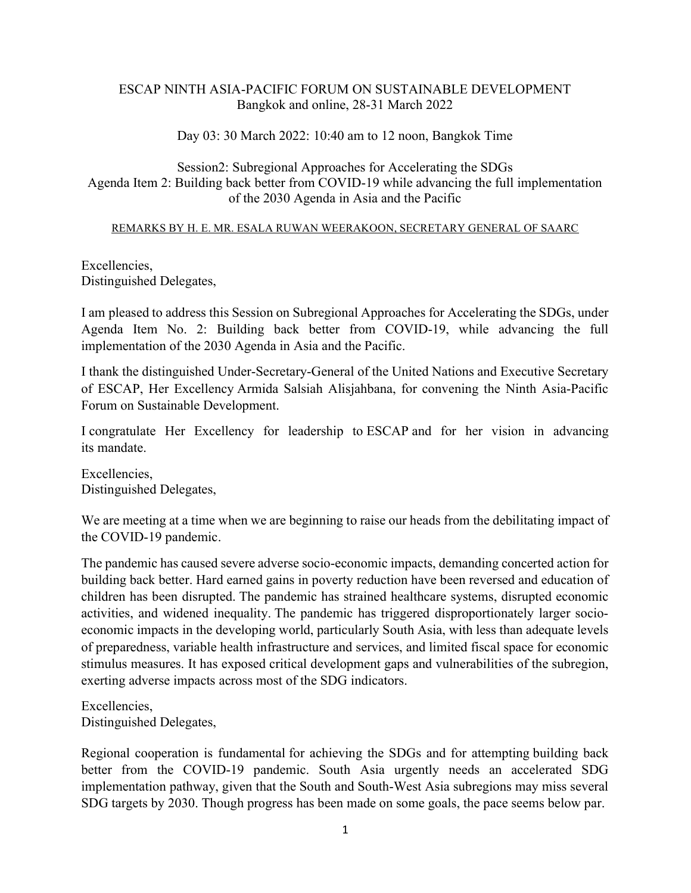## ESCAP NINTH ASIA-PACIFIC FORUM ON SUSTAINABLE DEVELOPMENT Bangkok and online, 28-31 March 2022

## Day 03: 30 March 2022: 10:40 am to 12 noon, Bangkok Time

Session2: Subregional Approaches for Accelerating the SDGs Agenda Item 2: Building back better from COVID-19 while advancing the full implementation of the 2030 Agenda in Asia and the Pacific

## REMARKS BY H. E. MR. ESALA RUWAN WEERAKOON, SECRETARY GENERAL OF SAARC

Excellencies, Distinguished Delegates,

I am pleased to address this Session on Subregional Approaches for Accelerating the SDGs, under Agenda Item No. 2: Building back better from COVID-19, while advancing the full implementation of the 2030 Agenda in Asia and the Pacific.

I thank the distinguished Under-Secretary-General of the United Nations and Executive Secretary of ESCAP, Her Excellency Armida Salsiah Alisjahbana, for convening the Ninth Asia-Pacific Forum on Sustainable Development.

I congratulate Her Excellency for leadership to ESCAP and for her vision in advancing its mandate.

Excellencies, Distinguished Delegates,

We are meeting at a time when we are beginning to raise our heads from the debilitating impact of the COVID-19 pandemic.

The pandemic has caused severe adverse socio-economic impacts, demanding concerted action for building back better. Hard earned gains in poverty reduction have been reversed and education of children has been disrupted. The pandemic has strained healthcare systems, disrupted economic activities, and widened inequality. The pandemic has triggered disproportionately larger socioeconomic impacts in the developing world, particularly South Asia, with less than adequate levels of preparedness, variable health infrastructure and services, and limited fiscal space for economic stimulus measures. It has exposed critical development gaps and vulnerabilities of the subregion, exerting adverse impacts across most of the SDG indicators.

Excellencies, Distinguished Delegates,

Regional cooperation is fundamental for achieving the SDGs and for attempting building back better from the COVID-19 pandemic. South Asia urgently needs an accelerated SDG implementation pathway, given that the South and South-West Asia subregions may miss several SDG targets by 2030. Though progress has been made on some goals, the pace seems below par.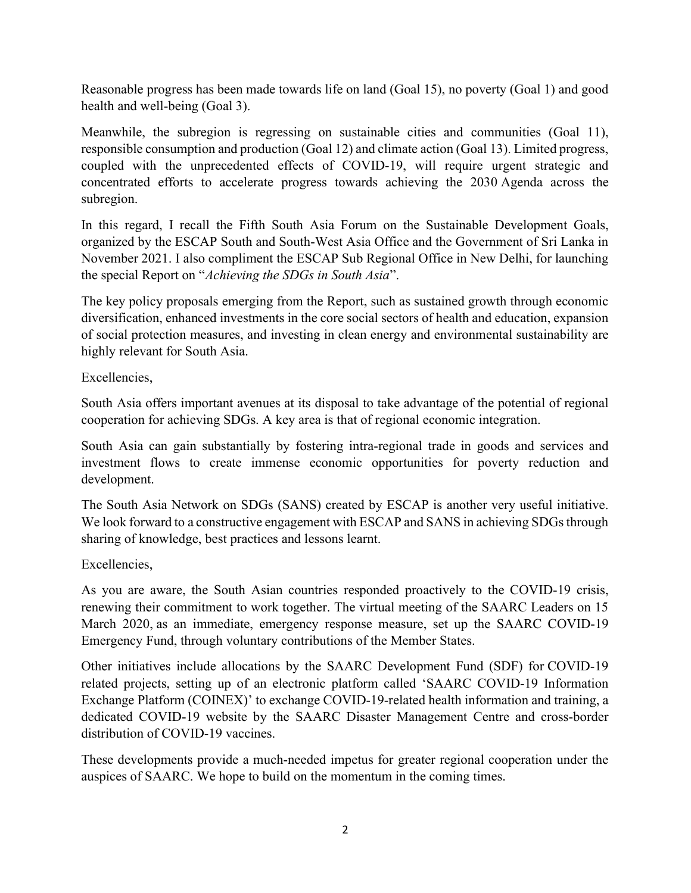Reasonable progress has been made towards life on land (Goal 15), no poverty (Goal 1) and good health and well-being (Goal 3).

Meanwhile, the subregion is regressing on sustainable cities and communities (Goal 11), responsible consumption and production (Goal 12) and climate action (Goal 13). Limited progress, coupled with the unprecedented effects of COVID-19, will require urgent strategic and concentrated efforts to accelerate progress towards achieving the 2030 Agenda across the subregion.

In this regard, I recall the Fifth South Asia Forum on the Sustainable Development Goals, organized by the ESCAP South and South-West Asia Office and the Government of Sri Lanka in November 2021. I also compliment the ESCAP Sub Regional Office in New Delhi, for launching the special Report on "Achieving the SDGs in South Asia".

The key policy proposals emerging from the Report, such as sustained growth through economic diversification, enhanced investments in the core social sectors of health and education, expansion of social protection measures, and investing in clean energy and environmental sustainability are highly relevant for South Asia.

Excellencies,

South Asia offers important avenues at its disposal to take advantage of the potential of regional cooperation for achieving SDGs. A key area is that of regional economic integration.

South Asia can gain substantially by fostering intra-regional trade in goods and services and investment flows to create immense economic opportunities for poverty reduction and development.

The South Asia Network on SDGs (SANS) created by ESCAP is another very useful initiative. We look forward to a constructive engagement with ESCAP and SANS in achieving SDGs through sharing of knowledge, best practices and lessons learnt.

Excellencies,

As you are aware, the South Asian countries responded proactively to the COVID-19 crisis, renewing their commitment to work together. The virtual meeting of the SAARC Leaders on 15 March 2020, as an immediate, emergency response measure, set up the SAARC COVID-19 Emergency Fund, through voluntary contributions of the Member States.

Other initiatives include allocations by the SAARC Development Fund (SDF) for COVID-19 related projects, setting up of an electronic platform called 'SAARC COVID-19 Information Exchange Platform (COINEX)' to exchange COVID-19-related health information and training, a dedicated COVID-19 website by the SAARC Disaster Management Centre and cross-border distribution of COVID-19 vaccines.

These developments provide a much-needed impetus for greater regional cooperation under the auspices of SAARC. We hope to build on the momentum in the coming times.